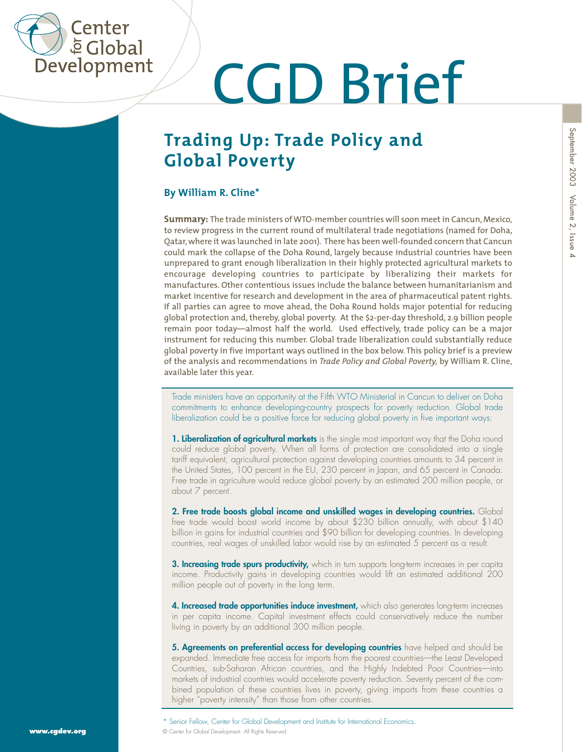

# **CGD Brief**<br>Trading Up: Trade Policy and<br>Global Poverty<br>By William R. Cline\*

### **Trading Up: Trade Policy and Global Poverty**

**Summary:** The trade ministers of WTO-member countries will soon meet in Cancun, Mexico, to review progress in the current round of multilateral trade negotiations (named for Doha, Qatar, where it was launched in late 2001). There has been well-founded concern that Cancun could mark the collapse of the Doha Round, largely because industrial countries have been unprepared to grant enough liberalization in their highly protected agricultural markets to encourage developing countries to participate by liberalizing their markets for manufactures. Other contentious issues include the balance between humanitarianism and market incentive for research and development in the area of pharmaceutical patent rights. If all parties can agree to move ahead, the Doha Round holds major potential for reducing global protection and, thereby, global poverty. At the \$2-per-day threshold, 2.9 billion people remain poor today—almost half the world. Used effectively, trade policy can be a major instrument for reducing this number. Global trade liberalization could substantially reduce global poverty in five important ways outlined in the box below. This policy brief is a preview of the analysis and recommendations in *Trade Policy and Global Poverty,* by William R. Cline, available later this year.

commitments to enhance developing-country prospects for poverty reduction. Global trade liberalization could be a positive force for reducing global poverty in five important ways:

Tracte in the method of the fifth WTO Ministerial in Concurt to deliver on Dohal Center for Global Development and the Scholar Institute internation could be a positive force for reducing global poverty in live important w **1. Liberalization of agricultural markets** is the single most important way that the Doha round could reduce global poverty. When all forms of protection are consolidated into a single tariff equivalent, agricultural protection against developing countries amounts to 34 percent in the United States, 100 percent in the EU, 230 percent in Japan, and 65 percent in Canada. Free trade in agriculture would reduce global poverty by an estimated 200 million people, or about 7 percent.

**2. Free trade boosts global income and unskilled wages in developing countries.** Global free trade would boost world income by about \$230 billion annually, with about \$140 billion in gains for industrial countries and \$90 billion for developing countries. In developing countries, real wages of unskilled labor would rise by an estimated 5 percent as a result.

**3. Increasing trade spurs productivity,** which in turn supports long-term increases in per capita income. Productivity gains in developing countries would lift an estimated additional 200 million people out of poverty in the long term.

**4. Increased trade opportunities induce investment,** which also generates long-term increases in per capita income. Capital investment effects could conservatively reduce the number living in poverty by an additional 300 million people.

**5. Agreements on preferential access for developing countries** have helped and should be expanded. Immediate free access for imports from the poorest countries—the Least Developed Countries, sub-Saharan African countries, and the Highly Indebted Poor Countries—into markets of industrial countries would accelerate poverty reduction. Seventy percent of the combined population of these countries lives in poverty, giving imports from these countries a higher "poverty intensity" than those from other countries.

 $\Delta$ 

<sup>©</sup> Center for Global Development. All Rights Reserved.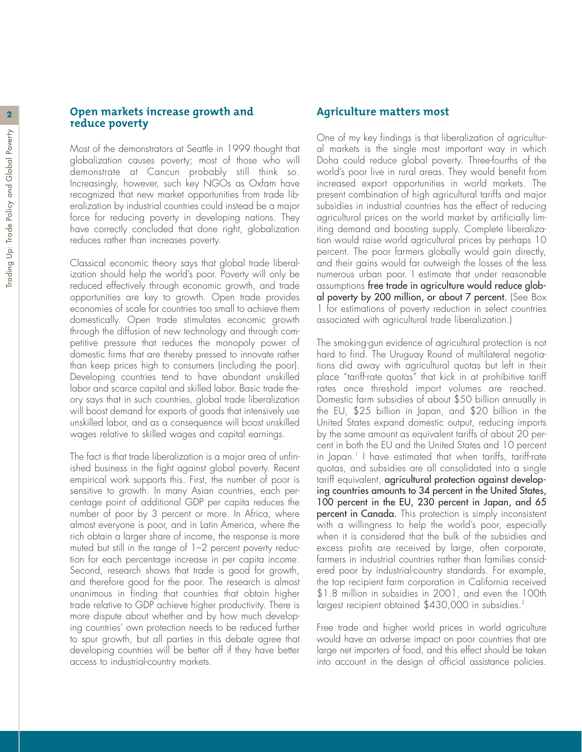#### **<sup>2</sup> Open markets increase growth and reduce poverty**

Most of the demonstrators at Seattle in 1999 thought that globalization causes poverty; most of those who will demonstrate at Cancun probably still think so. Increasingly, however, such key NGOs as Oxfam have recognized that new market opportunities from trade liberalization by industrial countries could instead be a major force for reducing poverty in developing nations. They have correctly concluded that done right, globalization reduces rather than increases poverty.

Classical economic theory says that global trade liberalization should help the world's poor. Poverty will only be reduced effectively through economic growth, and trade opportunities are key to growth. Open trade provides economies of scale for countries too small to achieve them domestically. Open trade stimulates economic growth through the diffusion of new technology and through competitive pressure that reduces the monopoly power of domestic firms that are thereby pressed to innovate rather than keep prices high to consumers (including the poor). Developing countries tend to have abundant unskilled labor and scarce capital and skilled labor. Basic trade theory says that in such countries, global trade liberalization will boost demand for exports of goods that intensively use unskilled labor, and as a consequence will boost unskilled wages relative to skilled wages and capital earnings.

The fact is that trade liberalization is a major area of unfinished business in the fight against global poverty. Recent empirical work supports this. First, the number of poor is sensitive to growth. In many Asian countries, each percentage point of additional GDP per capita reduces the number of poor by 3 percent or more. In Africa, where almost everyone is poor, and in Latin America, where the rich obtain a larger share of income, the response is more muted but still in the range of 1–2 percent poverty reduction for each percentage increase in per capita income. Second, research shows that trade is good for growth, and therefore good for the poor. The research is almost unanimous in finding that countries that obtain higher trade relative to GDP achieve higher productivity. There is more dispute about whether and by how much developing countries' own protection needs to be reduced further to spur growth, but all parties in this debate agree that developing countries will be better off if they have better access to industrial-country markets.

#### **Agriculture matters most**

One of my key findings is that liberalization of agricultural markets is the single most important way in which Doha could reduce global poverty. Three-fourths of the world's poor live in rural areas. They would benefit from increased export opportunities in world markets. The present combination of high agricultural tariffs and major subsidies in industrial countries has the effect of reducing agricultural prices on the world market by artificially limiting demand and boosting supply. Complete liberalization would raise world agricultural prices by perhaps 10 percent. The poor farmers globally would gain directly, and their gains would far outweigh the losses of the less numerous urban poor. I estimate that under reasonable assumptions free trade in agriculture would reduce global poverty by 200 million, or about 7 percent. (See Box 1 for estimations of poverty reduction in select countries associated with agricultural trade liberalization.)

The smoking-gun evidence of agricultural protection is not hard to find. The Uruguay Round of multilateral negotiations did away with agricultural quotas but left in their place "tariff-rate quotas" that kick in at prohibitive tariff rates once threshold import volumes are reached. Domestic farm subsidies of about \$50 billion annually in the EU, \$25 billion in Japan, and \$20 billion in the United States expand domestic output, reducing imports by the same amount as equivalent tariffs of about 20 percent in both the EU and the United States and 10 percent in Japan.1 I have estimated that when tariffs, tariff-rate quotas, and subsidies are all consolidated into a single tariff equivalent, agricultural protection against developing countries amounts to 34 percent in the United States, 100 percent in the EU, 230 percent in Japan, and 65 percent in Canada. This protection is simply inconsistent with a willingness to help the world's poor, especially when it is considered that the bulk of the subsidies and excess profits are received by large, often corporate, farmers in industrial countries rather than families considered poor by industrial-country standards. For example, the top recipient farm corporation in California received \$1.8 million in subsidies in 2001, and even the 100th largest recipient obtained \$430,000 in subsidies.<sup>2</sup>

Free trade and higher world prices in world agriculture would have an adverse impact on poor countries that are large net importers of food, and this effect should be taken into account in the design of official assistance policies.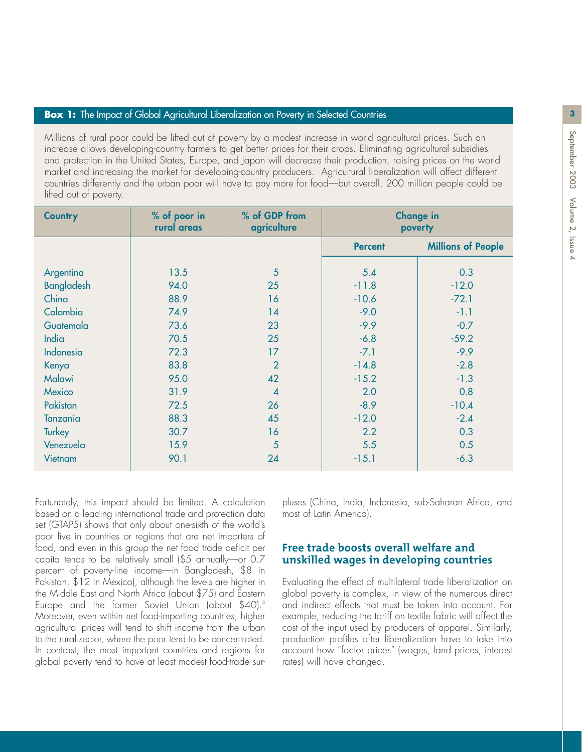#### **Box 1:** The Impact of Global Agricultural Liberalization on Poverty in Selected Countries

Millions of rural poor could be lifted out of poverty by a modest increase in world agricultural prices. Such an increase allows developing-country farmers to get better prices for their crops. Eliminating agricultural subsidies and protection in the United States, Europe, and Japan will decrease their production, raising prices on the world market and increasing the market for developing-country producers. Agricultural liberalization will affect different countries differently and the urban poor will have to pay more for food—but overall, 200 million people could be lifted out of poverty.

| <b>Country</b>    | % of poor in | % of GDP from  | <b>Change in</b> |                           |
|-------------------|--------------|----------------|------------------|---------------------------|
|                   | rural areas  | agriculture    | poverty          |                           |
|                   |              |                | <b>Percent</b>   | <b>Millions of People</b> |
| Argentina         | 13.5         | 5              | 5.4              | 0.3                       |
| <b>Bangladesh</b> | 94.0         | 25             | $-11.8$          | $-12.0$                   |
| China             | 88.9         | 16             | $-10.6$          | $-72.1$                   |
| Colombia          | 74.9         | 14             | $-9.0$           | $-1.1$                    |
| Guatemala         | 73.6         | 23             | $-9.9$           | $-0.7$                    |
| <b>India</b>      | 70.5         | 25             | $-6.8$           | $-59.2$                   |
| Indonesia         | 72.3         | 17             | $-7.1$           | $-9.9$                    |
|                   | 83.8         | $\overline{2}$ | $-14.8$          | $-2.8$                    |
| Kenya<br>Malawi   | 95.0         | 42             | $-15.2$          | $-1.3$                    |
| Mexico            | 31.9         | $\overline{4}$ | 2.0              | 0.8                       |
| Pakistan          | 72.5         | 26             | $-8.9$           | $-10.4$                   |
| <b>Tanzania</b>   | 88.3         | 45             | $-12.0$          | $-2.4$                    |
| Turkey            | 30.7         | 16             | 2.2              | 0.3                       |
| Venezuela         | 15.9         | 5              | 5.5              | 0.5                       |
| Vietnam           | 90.1         | 24             | $-15.1$          | $-6.3$                    |

Fortunately, this impact should be limited. A calculation based on a leading international trade and protection data set (GTAP5) shows that only about one-sixth of the world's poor live in countries or regions that are net importers of food, and even in this group the net food trade deficit per capita tends to be relatively small (\$5 annually—or 0.7 percent of poverty-line income—in Bangladesh, \$8 in Pakistan, \$12 in Mexico), although the levels are higher in the Middle East and North Africa (about \$75) and Eastern Europe and the former Soviet Union (about \$40).<sup>3</sup> Moreover, even within net food-importing countries, higher agricultural prices will tend to shift income from the urban to the rural sector, where the poor tend to be concentrated. In contrast, the most important countries and regions for global poverty tend to have at least modest food-trade surpluses (China, India, Indonesia, sub-Saharan Africa, and most of Latin America).

#### **Free trade boosts overall welfare and unskilled wages in developing countries**

Evaluating the effect of multilateral trade liberalization on global poverty is complex, in view of the numerous direct and indirect effects that must be taken into account. For example, reducing the tariff on textile fabric will affect the cost of the input used by producers of apparel. Similarly, production profiles after liberalization have to take into account how "factor prices" (wages, land prices, interest rates) will have changed.

**3**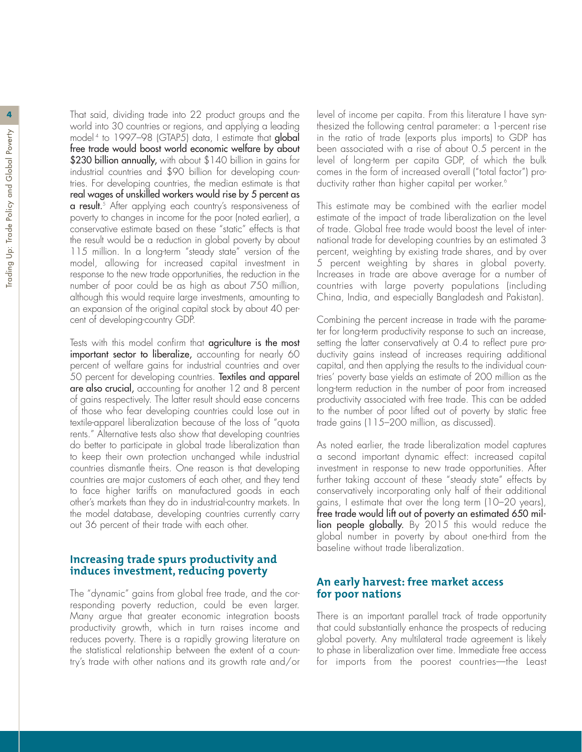**4** That said, dividing trade into 22 product groups and the world into 30 countries or regions, and applying a leading model<sup>4</sup> to 1997–98 (GTAP5) data, I estimate that **global** free trade would boost world economic welfare by about \$230 billion annually, with about \$140 billion in gains for industrial countries and \$90 billion for developing countries. For developing countries, the median estimate is that real wages of unskilled workers would rise by 5 percent as **a result.**<sup>5</sup> After applying each country's responsiveness of poverty to changes in income for the poor (noted earlier), a conservative estimate based on these "static" effects is that the result would be a reduction in global poverty by about 115 million. In a long-term "steady state" version of the model, allowing for increased capital investment in response to the new trade opportunities, the reduction in the number of poor could be as high as about 750 million, although this would require large investments, amounting to an expansion of the original capital stock by about 40 percent of developing-country GDP.

Tests with this model confirm that agriculture is the most important sector to liberalize, accounting for nearly 60 percent of welfare gains for industrial countries and over 50 percent for developing countries. Textiles and apparel are also crucial, accounting for another 12 and 8 percent of gains respectively. The latter result should ease concerns of those who fear developing countries could lose out in textile-apparel liberalization because of the loss of "quota rents." Alternative tests also show that developing countries do better to participate in global trade liberalization than to keep their own protection unchanged while industrial countries dismantle theirs. One reason is that developing countries are major customers of each other, and they tend to face higher tariffs on manufactured goods in each other's markets than they do in industrial-country markets. In the model database, developing countries currently carry out 36 percent of their trade with each other.

#### **Increasing trade spurs productivity and induces investment, reducing poverty**

The "dynamic" gains from global free trade, and the corresponding poverty reduction, could be even larger. Many argue that greater economic integration boosts productivity growth, which in turn raises income and reduces poverty. There is a rapidly growing literature on the statistical relationship between the extent of a country's trade with other nations and its growth rate and/or

level of income per capita. From this literature I have synthesized the following central parameter: a 1-percent rise in the ratio of trade (exports plus imports) to GDP has been associated with a rise of about 0.5 percent in the level of long-term per capita GDP, of which the bulk comes in the form of increased overall ("total factor") productivity rather than higher capital per worker.<sup>6</sup>

This estimate may be combined with the earlier model estimate of the impact of trade liberalization on the level of trade. Global free trade would boost the level of international trade for developing countries by an estimated 3 percent, weighting by existing trade shares, and by over 5 percent weighting by shares in global poverty. Increases in trade are above average for a number of countries with large poverty populations (including China, India, and especially Bangladesh and Pakistan).

Combining the percent increase in trade with the parameter for long-term productivity response to such an increase, setting the latter conservatively at 0.4 to reflect pure productivity gains instead of increases requiring additional capital, and then applying the results to the individual countries' poverty base yields an estimate of 200 million as the long-term reduction in the number of poor from increased productivity associated with free trade. This can be added to the number of poor lifted out of poverty by static free trade gains (115–200 million, as discussed).

As noted earlier, the trade liberalization model captures a second important dynamic effect: increased capital investment in response to new trade opportunities. After further taking account of these "steady state" effects by conservatively incorporating only half of their additional gains, I estimate that over the long term (10–20 years), free trade would lift out of poverty an estimated 650 million people globally. By 2015 this would reduce the global number in poverty by about one-third from the baseline without trade liberalization.

#### **An early harvest: free market access for poor nations**

There is an important parallel track of trade opportunity that could substantially enhance the prospects of reducing global poverty. Any multilateral trade agreement is likely to phase in liberalization over time. Immediate free access for imports from the poorest countries—the Least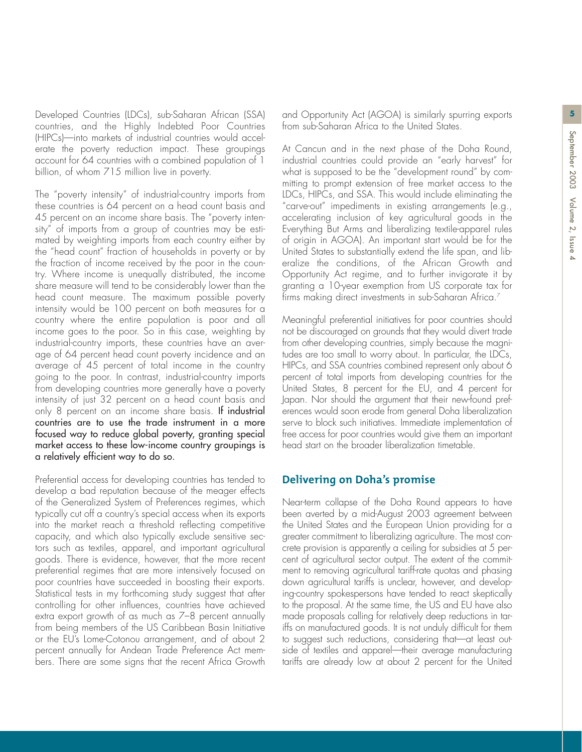Developed Countries (LDCs), sub-Saharan African (SSA) **5** and Opportunity Act (AGOA) is similarly spurring exports countries, and the Highly Indebted Poor Countries (HIPCs)—into markets of industrial countries would accelerate the poverty reduction impact. These groupings account for 64 countries with a combined population of 1 billion, of whom 715 million live in poverty.

The "poverty intensity" of industrial-country imports from these countries is 64 percent on a head count basis and 45 percent on an income share basis. The "poverty intensity" of imports from a group of countries may be estimated by weighting imports from each country either by the "head count" fraction of households in poverty or by the fraction of income received by the poor in the country. Where income is unequally distributed, the income share measure will tend to be considerably lower than the head count measure. The maximum possible poverty intensity would be 100 percent on both measures for a country where the entire population is poor and all income goes to the poor. So in this case, weighting by industrial-country imports, these countries have an average of 64 percent head count poverty incidence and an average of 45 percent of total income in the country going to the poor. In contrast, industrial-country imports from developing countries more generally have a poverty intensity of just 32 percent on a head count basis and only 8 percent on an income share basis. If industrial countries are to use the trade instrument in a more focused way to reduce global poverty, granting special market access to these low-income country groupings is a relatively efficient way to do so.

Preferential access for developing countries has tended to develop a bad reputation because of the meager effects of the Generalized System of Preferences regimes, which typically cut off a country's special access when its exports into the market reach a threshold reflecting competitive capacity, and which also typically exclude sensitive sectors such as textiles, apparel, and important agricultural goods. There is evidence, however, that the more recent preferential regimes that are more intensively focused on poor countries have succeeded in boosting their exports. Statistical tests in my forthcoming study suggest that after controlling for other influences, countries have achieved extra export growth of as much as 7–8 percent annually from being members of the US Caribbean Basin Initiative or the EU's Lome-Cotonou arrangement, and of about 2 percent annually for Andean Trade Preference Act members. There are some signs that the recent Africa Growth

from sub-Saharan Africa to the United States.

At Cancun and in the next phase of the Doha Round, industrial countries could provide an "early harvest" for what is supposed to be the "development round" by committing to prompt extension of free market access to the LDCs, HIPCs, and SSA. This would include eliminating the "carve-out" impediments in existing arrangements (e.g., accelerating inclusion of key agricultural goods in the Everything But Arms and liberalizing textile-apparel rules of origin in AGOA). An important start would be for the United States to substantially extend the life span, and liberalize the conditions, of the African Growth and Opportunity Act regime, and to further invigorate it by granting a 10-year exemption from US corporate tax for firms making direct investments in sub-Saharan Africa.<sup>7</sup>

Meaningful preferential initiatives for poor countries should not be discouraged on grounds that they would divert trade from other developing countries, simply because the magnitudes are too small to worry about. In particular, the LDCs, HIPCs, and SSA countries combined represent only about 6 percent of total imports from developing countries for the United States, 8 percent for the EU, and 4 percent for Japan. Nor should the argument that their new-found preferences would soon erode from general Doha liberalization serve to block such initiatives. Immediate implementation of free access for poor countries would give them an important head start on the broader liberalization timetable.

#### **Delivering on Doha's promise**

Near-term collapse of the Doha Round appears to have been averted by a mid-August 2003 agreement between the United States and the European Union providing for a greater commitment to liberalizing agriculture. The most concrete provision is apparently a ceiling for subsidies at 5 percent of agricultural sector output. The extent of the commitment to removing agricultural tariff-rate quotas and phasing down agricultural tariffs is unclear, however, and developing-country spokespersons have tended to react skeptically to the proposal. At the same time, the US and EU have also made proposals calling for relatively deep reductions in tariffs on manufactured goods. It is not unduly difficult for them to suggest such reductions, considering that—at least outside of textiles and apparel—their average manufacturing tariffs are already low at about 2 percent for the United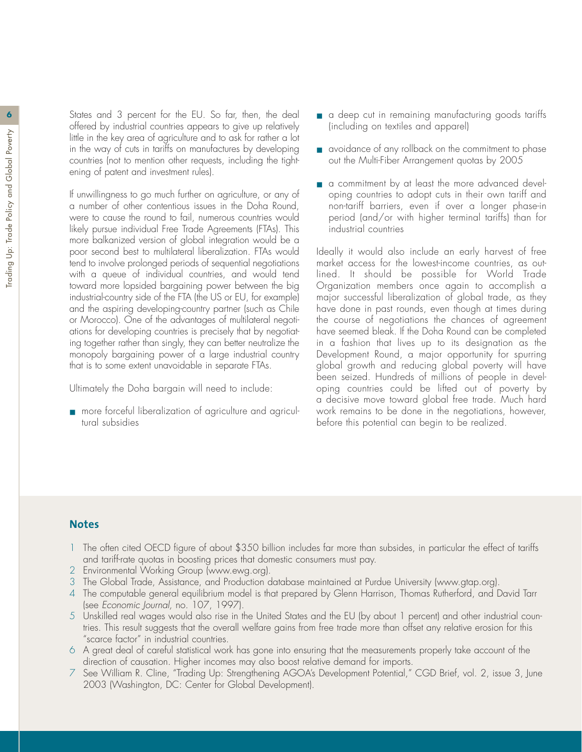States and 3 percent for the EU. So far, then, the deal offered by industrial countries appears to give up relatively little in the key area of agriculture and to ask for rather a lot in the way of cuts in tariffs on manufactures by developing countries (not to mention other requests, including the tightening of patent and investment rules).

If unwillingness to go much further on agriculture, or any of a number of other contentious issues in the Doha Round, were to cause the round to fail, numerous countries would likely pursue individual Free Trade Agreements (FTAs). This more balkanized version of global integration would be a poor second best to multilateral liberalization. FTAs would tend to involve prolonged periods of sequential negotiations with a queue of individual countries, and would tend toward more lopsided bargaining power between the big industrial-country side of the FTA (the US or EU, for example) and the aspiring developing-country partner (such as Chile or Morocco). One of the advantages of multilateral negotiations for developing countries is precisely that by negotiating together rather than singly, they can better neutralize the monopoly bargaining power of a large industrial country that is to some extent unavoidable in separate FTAs.

Ultimately the Doha bargain will need to include:

■ more forceful liberalization of agriculture and agricultural subsidies

- a deep cut in remaining manufacturing goods tariffs (including on textiles and apparel)
- avoidance of any rollback on the commitment to phase out the Multi-Fiber Arrangement quotas by 2005
- a commitment by at least the more advanced developing countries to adopt cuts in their own tariff and non-tariff barriers, even if over a longer phase-in period (and/or with higher terminal tariffs) than for industrial countries

Ideally it would also include an early harvest of free market access for the lowest-income countries, as outlined. It should be possible for World Trade Organization members once again to accomplish a major successful liberalization of global trade, as they have done in past rounds, even though at times during the course of negotiations the chances of agreement have seemed bleak. If the Doha Round can be completed in a fashion that lives up to its designation as the Development Round, a major opportunity for spurring global growth and reducing global poverty will have been seized. Hundreds of millions of people in developing countries could be lifted out of poverty by a decisive move toward global free trade. Much hard work remains to be done in the negotiations, however, before this potential can begin to be realized.

#### **Notes**

- 1 The often cited OECD figure of about \$350 billion includes far more than subsides, in particular the effect of tariffs and tariff-rate quotas in boosting prices that domestic consumers must pay.
- Environmental Working Group (www.ewg.org).
- 3 The Global Trade, Assistance, and Production database maintained at Purdue University (www.gtap.org).
- 4 The computable general equilibrium model is that prepared by Glenn Harrison, Thomas Rutherford, and David Tarr (see *Economic Journal,* no. 107, 1997).
- 5 Unskilled real wages would also rise in the United States and the EU (by about 1 percent) and other industrial countries. This result suggests that the overall welfare gains from free trade more than offset any relative erosion for this "scarce factor" in industrial countries.
- 6 A great deal of careful statistical work has gone into ensuring that the measurements properly take account of the direction of causation. Higher incomes may also boost relative demand for imports.
- 7 See William R. Cline, "Trading Up: Strengthening AGOA's Development Potential," CGD Brief, vol. 2, issue 3, June 2003 (Washington, DC: Center for Global Development).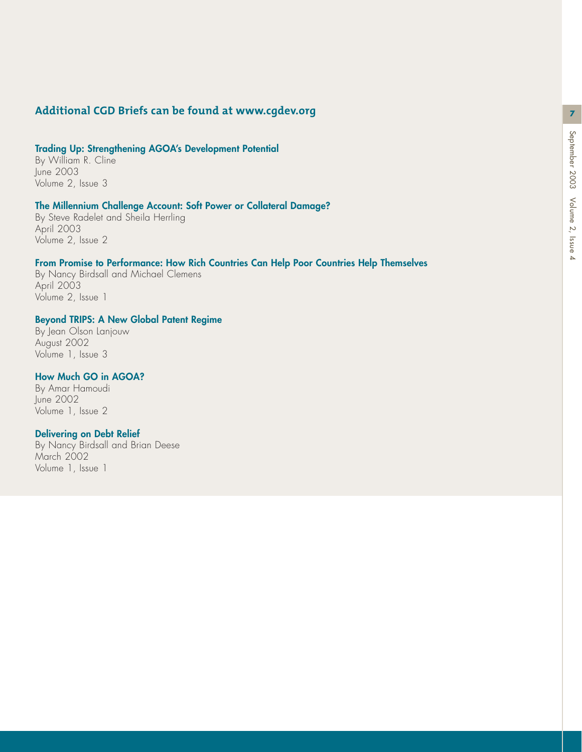**7**

#### **Additional CGD Briefs can be found at www.cgdev.org**

#### **Trading Up: Strengthening AGOA's Development Potential**

By William R. Cline<br>June 2003 Volume 2, Issue 3

#### **The Millennium Challenge Account: Soft Power or Collateral Damage?**

By Steve Radelet and Sheila Herrling April 2003 Volume 2, Issue 2

#### **From Promise to Performance: How Rich Countries Can Help Poor Countries Help Themselves**

By Nancy Birdsall and Michael Clemens Volume 2, Issue 1

#### **Beyond TRIPS: A New Global Patent Regime**

By Jean Olson Lanjouw August 2002 Volume 1, Issue 3

#### **How Much GO in AGOA?**

By Amar Hamoudi June 2002 Volume 1, Issue 2

#### **Delivering on Debt Relief**

By Nancy Birdsall and Brian Deese March 2002 Volume 1, Issue 1